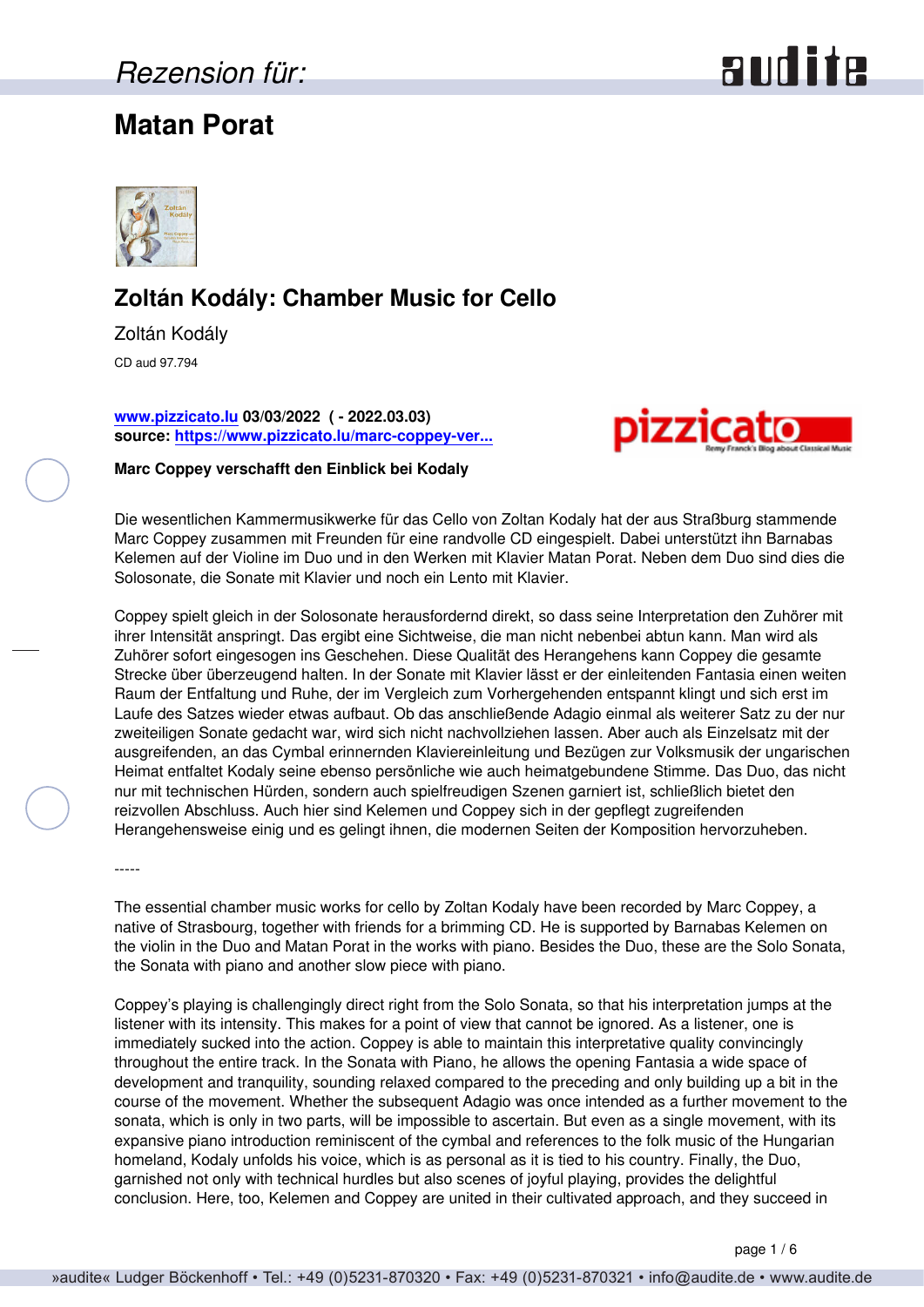## *Rezension für:*

## **Matan Porat**





### **Zoltán Kodály: Chamber Music for Cello**

Zoltán Kodály CD aud 97.794

**[www.pizzicato.lu](http://www.pizzicato.lu) 03/03/2022 ( - 2022.03.03) source: [https://www.pizzicato.lu/marc-coppey-ver...](https://www.pizzicato.lu/marc-coppey-verschafft-den-einblick-bei-kodaly/)**



**Marc Coppey verschafft den Einblick bei Kodaly**

Die wesentlichen Kammermusikwerke für das Cello von Zoltan Kodaly hat der aus Straßburg stammende Marc Coppey zusammen mit Freunden für eine randvolle CD eingespielt. Dabei unterstützt ihn Barnabas Kelemen auf der Violine im Duo und in den Werken mit Klavier Matan Porat. Neben dem Duo sind dies die Solosonate, die Sonate mit Klavier und noch ein Lento mit Klavier.

Coppey spielt gleich in der Solosonate herausfordernd direkt, so dass seine Interpretation den Zuhörer mit ihrer Intensität anspringt. Das ergibt eine Sichtweise, die man nicht nebenbei abtun kann. Man wird als Zuhörer sofort eingesogen ins Geschehen. Diese Qualität des Herangehens kann Coppey die gesamte Strecke über überzeugend halten. In der Sonate mit Klavier lässt er der einleitenden Fantasia einen weiten Raum der Entfaltung und Ruhe, der im Vergleich zum Vorhergehenden entspannt klingt und sich erst im Laufe des Satzes wieder etwas aufbaut. Ob das anschließende Adagio einmal als weiterer Satz zu der nur zweiteiligen Sonate gedacht war, wird sich nicht nachvollziehen lassen. Aber auch als Einzelsatz mit der ausgreifenden, an das Cymbal erinnernden Klaviereinleitung und Bezügen zur Volksmusik der ungarischen Heimat entfaltet Kodaly seine ebenso persönliche wie auch heimatgebundene Stimme. Das Duo, das nicht nur mit technischen Hürden, sondern auch spielfreudigen Szenen garniert ist, schließlich bietet den reizvollen Abschluss. Auch hier sind Kelemen und Coppey sich in der gepflegt zugreifenden Herangehensweise einig und es gelingt ihnen, die modernen Seiten der Komposition hervorzuheben.

-----

The essential chamber music works for cello by Zoltan Kodaly have been recorded by Marc Coppey, a native of Strasbourg, together with friends for a brimming CD. He is supported by Barnabas Kelemen on the violin in the Duo and Matan Porat in the works with piano. Besides the Duo, these are the Solo Sonata, the Sonata with piano and another slow piece with piano.

Coppey's playing is challengingly direct right from the Solo Sonata, so that his interpretation jumps at the listener with its intensity. This makes for a point of view that cannot be ignored. As a listener, one is immediately sucked into the action. Coppey is able to maintain this interpretative quality convincingly throughout the entire track. In the Sonata with Piano, he allows the opening Fantasia a wide space of development and tranquility, sounding relaxed compared to the preceding and only building up a bit in the course of the movement. Whether the subsequent Adagio was once intended as a further movement to the sonata, which is only in two parts, will be impossible to ascertain. But even as a single movement, with its expansive piano introduction reminiscent of the cymbal and references to the folk music of the Hungarian homeland, Kodaly unfolds his voice, which is as personal as it is tied to his country. Finally, the Duo, garnished not only with technical hurdles but also scenes of joyful playing, provides the delightful conclusion. Here, too, Kelemen and Coppey are united in their cultivated approach, and they succeed in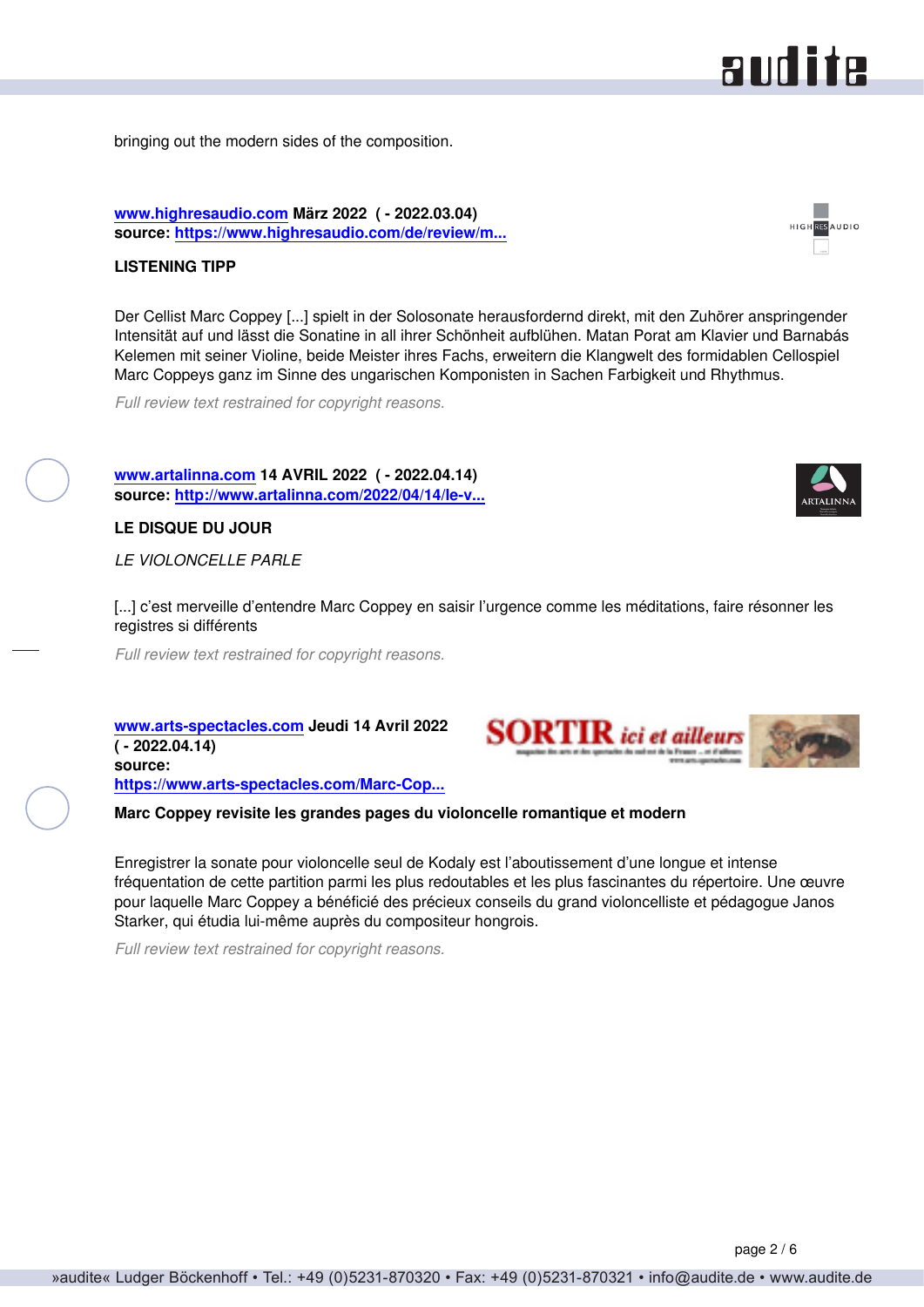#### bringing out the modern sides of the composition.

**[www.highresaudio.com](http://www.highresaudio.com) März 2022 ( - 2022.03.04) source: [https://www.highresaudio.com/de/review/m...](https://www.highresaudio.com/de/review/marc-coppey-matan-porat-barnabs-kelemen-zoltn-kodly-chamber-music-for-cello)**

#### **LISTENING TIPP**

Der Cellist Marc Coppey [...] spielt in der Solosonate herausfordernd direkt, mit den Zuhörer anspringender Intensität auf und lässt die Sonatine in all ihrer Schönheit aufblühen. Matan Porat am Klavier und Barnabás Kelemen mit seiner Violine, beide Meister ihres Fachs, erweitern die Klangwelt des formidablen Cellospiel Marc Coppeys ganz im Sinne des ungarischen Komponisten in Sachen Farbigkeit und Rhythmus.

*Full review text restrained for copyright reasons.*

**[www.artalinna.com](http://www.artalinna.com) 14 AVRIL 2022 ( - 2022.04.14) source: [http://www.artalinna.com/2022/04/14/le-v...](http://www.artalinna.com/2022/04/14/le-violoncelle-parle/)**

**LE DISQUE DU JOUR**

*LE VIOLONCELLE PARLE*

[...] c'est merveille d'entendre Marc Coppey en saisir l'urgence comme les méditations, faire résonner les registres si différents

*Full review text restrained for copyright reasons.*

**[www.arts-spectacles.com](https://www.arts-spectacles.com/) Jeudi 14 Avril 2022 ( - 2022.04.14) source: [https://www.arts-spectacles.com/Marc-Cop...](https://www.arts-spectacles.com/Marc-Coppey-violoncelle-French-Cello-Zolta-Kodaly-Label-Audite_a16387.html)**

**Marc Coppey revisite les grandes pages du violoncelle romantique et modern**

Enregistrer la sonate pour violoncelle seul de Kodaly est l'aboutissement d'une longue et intense fréquentation de cette partition parmi les plus redoutables et les plus fascinantes du répertoire. Une œuvre pour laquelle Marc Coppey a bénéficié des précieux conseils du grand violoncelliste et pédagogue Janos Starker, qui étudia lui-même auprès du compositeur hongrois.

*Full review text restrained for copyright reasons.*



RESAUDIO





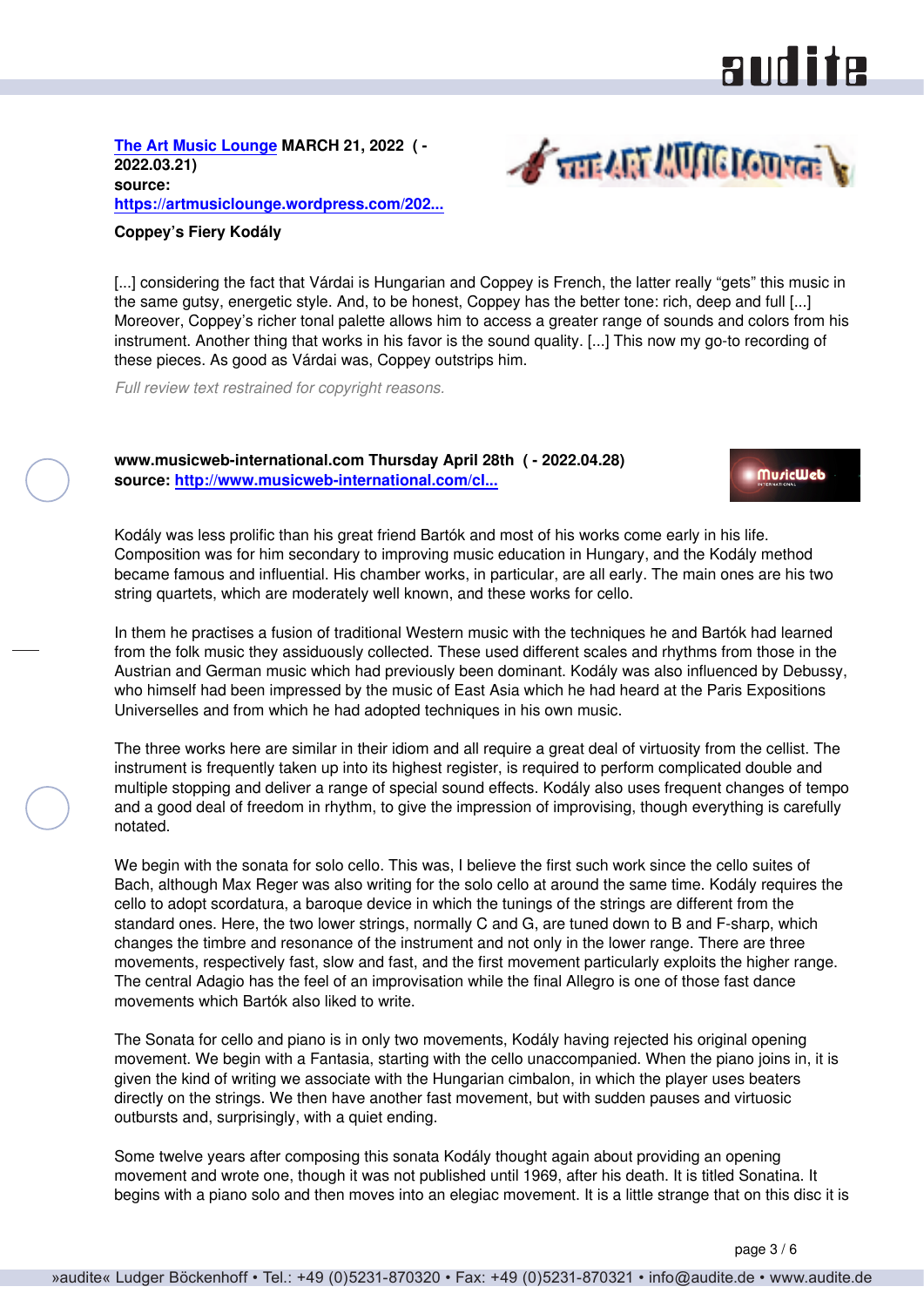# **RUD ite**

**A THE AFT AUTO CONTENT** 

**[The Art Music Lounge](https://artmusiclounge.wordpress.com) MARCH 21, 2022 ( - 2022.03.21) source: [https://artmusiclounge.wordpress.com/202...](https://artmusiclounge.wordpress.com/2022/03/21/coppeys-fiery-kodaly/)**

#### **Coppey's Fiery Kodály**

[...] considering the fact that Várdai is Hungarian and Coppey is French, the latter really "gets" this music in the same gutsy, energetic style. And, to be honest, Coppey has the better tone: rich, deep and full [...] Moreover, Coppey's richer tonal palette allows him to access a greater range of sounds and colors from his instrument. Another thing that works in his favor is the sound quality. [...] This now my go-to recording of these pieces. As good as Várdai was, Coppey outstrips him.

*Full review text restrained for copyright reasons.*

#### **www.musicweb-international.com Thursday April 28th ( - 2022.04.28) source: [http://www.musicweb-international.com/cl...](http://www.musicweb-international.com/classrev/2022/Apr/Kodaly-cello-97794.htm)**



Kodály was less prolific than his great friend Bartók and most of his works come early in his life. Composition was for him secondary to improving music education in Hungary, and the Kodály method became famous and influential. His chamber works, in particular, are all early. The main ones are his two string quartets, which are moderately well known, and these works for cello.

In them he practises a fusion of traditional Western music with the techniques he and Bartók had learned from the folk music they assiduously collected. These used different scales and rhythms from those in the Austrian and German music which had previously been dominant. Kodály was also influenced by Debussy, who himself had been impressed by the music of East Asia which he had heard at the Paris Expositions Universelles and from which he had adopted techniques in his own music.

The three works here are similar in their idiom and all require a great deal of virtuosity from the cellist. The instrument is frequently taken up into its highest register, is required to perform complicated double and multiple stopping and deliver a range of special sound effects. Kodály also uses frequent changes of tempo and a good deal of freedom in rhythm, to give the impression of improvising, though everything is carefully notated.

We begin with the sonata for solo cello. This was, I believe the first such work since the cello suites of Bach, although Max Reger was also writing for the solo cello at around the same time. Kodály requires the cello to adopt scordatura, a baroque device in which the tunings of the strings are different from the standard ones. Here, the two lower strings, normally C and G, are tuned down to B and F-sharp, which changes the timbre and resonance of the instrument and not only in the lower range. There are three movements, respectively fast, slow and fast, and the first movement particularly exploits the higher range. The central Adagio has the feel of an improvisation while the final Allegro is one of those fast dance movements which Bartók also liked to write.

The Sonata for cello and piano is in only two movements, Kodály having rejected his original opening movement. We begin with a Fantasia, starting with the cello unaccompanied. When the piano joins in, it is given the kind of writing we associate with the Hungarian cimbalon, in which the player uses beaters directly on the strings. We then have another fast movement, but with sudden pauses and virtuosic outbursts and, surprisingly, with a quiet ending.

Some twelve years after composing this sonata Kodály thought again about providing an opening movement and wrote one, though it was not published until 1969, after his death. It is titled Sonatina. It begins with a piano solo and then moves into an elegiac movement. It is a little strange that on this disc it is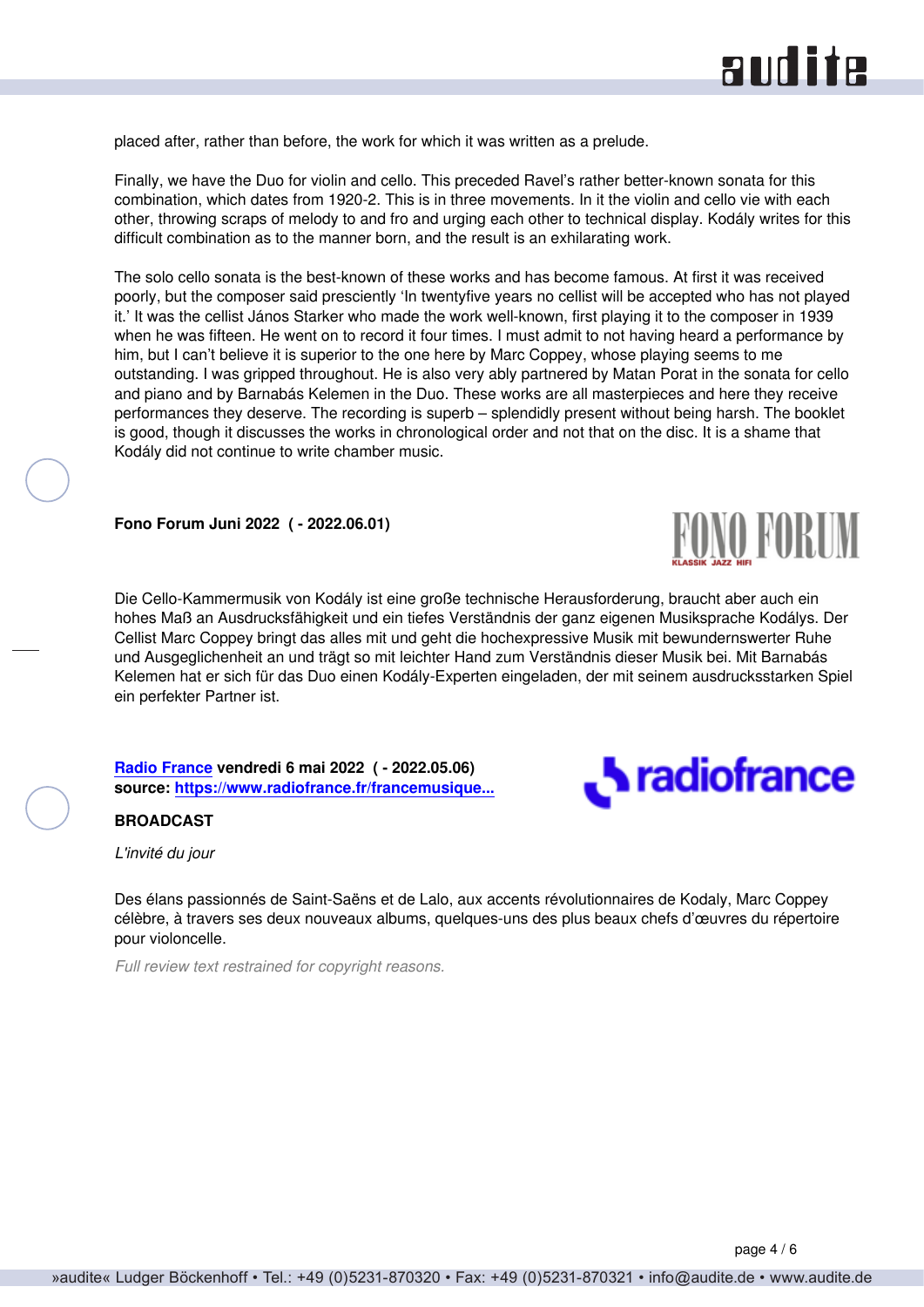placed after, rather than before, the work for which it was written as a prelude.

Finally, we have the Duo for violin and cello. This preceded Ravel's rather better-known sonata for this combination, which dates from 1920-2. This is in three movements. In it the violin and cello vie with each other, throwing scraps of melody to and fro and urging each other to technical display. Kodály writes for this difficult combination as to the manner born, and the result is an exhilarating work.

The solo cello sonata is the best-known of these works and has become famous. At first it was received poorly, but the composer said presciently 'In twentyfive years no cellist will be accepted who has not played it.' It was the cellist János Starker who made the work well-known, first playing it to the composer in 1939 when he was fifteen. He went on to record it four times. I must admit to not having heard a performance by him, but I can't believe it is superior to the one here by Marc Coppey, whose playing seems to me outstanding. I was gripped throughout. He is also very ably partnered by Matan Porat in the sonata for cello and piano and by Barnabás Kelemen in the Duo. These works are all masterpieces and here they receive performances they deserve. The recording is superb – splendidly present without being harsh. The booklet is good, though it discusses the works in chronological order and not that on the disc. It is a shame that Kodály did not continue to write chamber music.

**Fono Forum Juni 2022 ( - 2022.06.01)**

Die Cello-Kammermusik von Kodály ist eine große technische Herausforderung, braucht aber auch ein hohes Maß an Ausdrucksfähigkeit und ein tiefes Verständnis der ganz eigenen Musiksprache Kodálys. Der Cellist Marc Coppey bringt das alles mit und geht die hochexpressive Musik mit bewundernswerter Ruhe und Ausgeglichenheit an und trägt so mit leichter Hand zum Verständnis dieser Musik bei. Mit Barnabás Kelemen hat er sich für das Duo einen Kodály-Experten eingeladen, der mit seinem ausdrucksstarken Spiel ein perfekter Partner ist.

**[Radio France](https://www.radiofrance.fr) vendredi 6 mai 2022 ( - 2022.05.06) source: [https://www.radiofrance.fr/francemusique...](https://www.radiofrance.fr/francemusique/podcasts/l-invite-du-jour/l-invite-du-jour-du-vendredi-06-mai-2022-7408619)**

#### **BROADCAST**

*L'invité du jour*

Des élans passionnés de Saint-Saëns et de Lalo, aux accents révolutionnaires de Kodaly, Marc Coppey célèbre, à travers ses deux nouveaux albums, quelques-uns des plus beaux chefs d'œuvres du répertoire pour violoncelle.

*Full review text restrained for copyright reasons.*



**FUNU FORUM**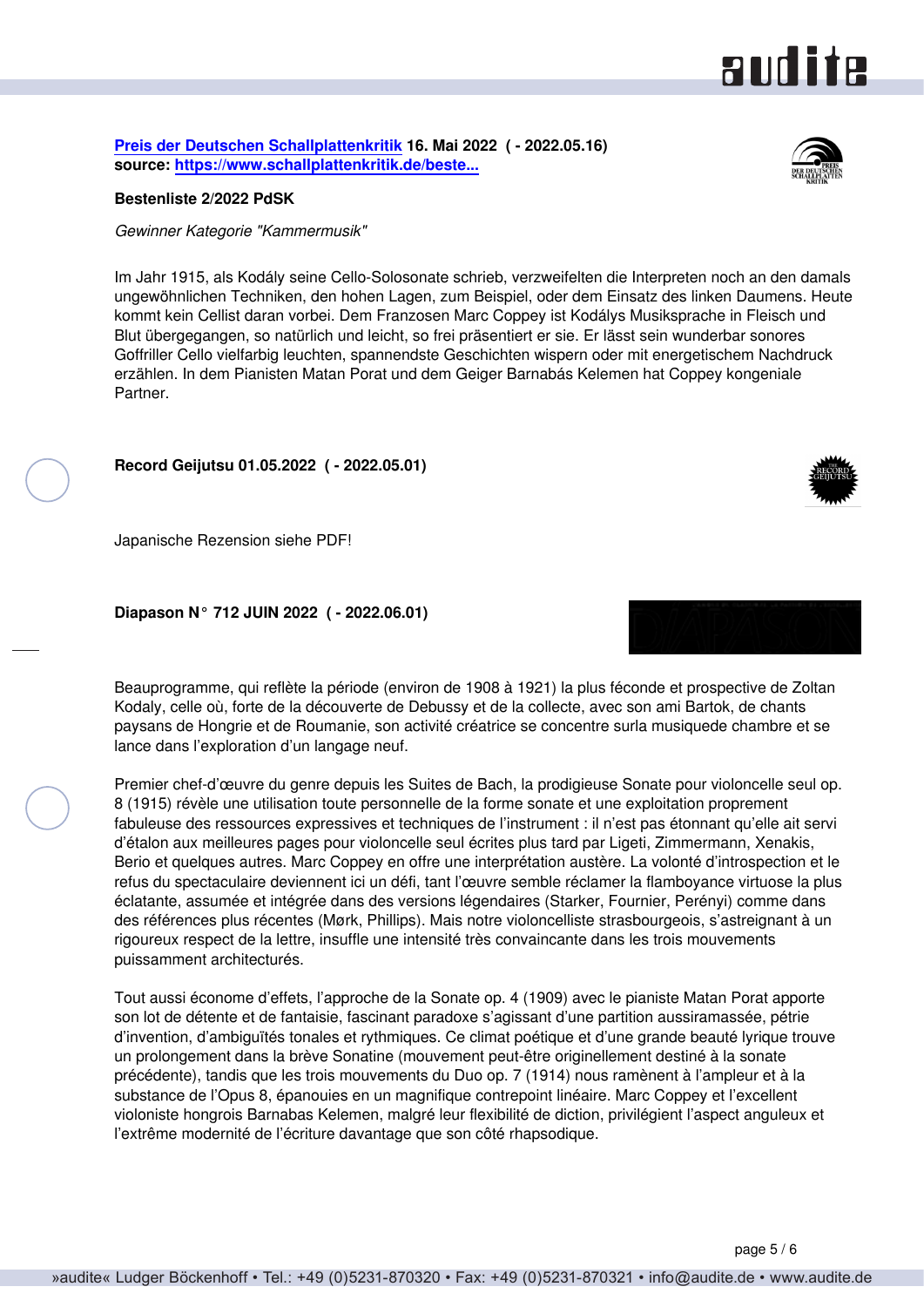#### page 5 / 6

**[Preis der Deutschen Schallplattenkritik](http://www.schallplattenkritik.de) 16. Mai 2022 ( - 2022.05.16) source: [https://www.schallplattenkritik.de/beste...](https://www.schallplattenkritik.de/bestenlisten/2022/02)**

#### **Bestenliste 2/2022 PdSK**

*Gewinner Kategorie "Kammermusik"*

Im Jahr 1915, als Kodály seine Cello-Solosonate schrieb, verzweifelten die Interpreten noch an den damals ungewöhnlichen Techniken, den hohen Lagen, zum Beispiel, oder dem Einsatz des linken Daumens. Heute kommt kein Cellist daran vorbei. Dem Franzosen Marc Coppey ist Kodálys Musiksprache in Fleisch und Blut übergegangen, so natürlich und leicht, so frei präsentiert er sie. Er lässt sein wunderbar sonores Goffriller Cello vielfarbig leuchten, spannendste Geschichten wispern oder mit energetischem Nachdruck erzählen. In dem Pianisten Matan Porat und dem Geiger Barnabás Kelemen hat Coppey kongeniale Partner.

**Record Geijutsu 01.05.2022 ( - 2022.05.01)**

Japanische Rezension siehe PDF!

**Diapason N° 712 JUIN 2022 ( - 2022.06.01)**

Beauprogramme, qui reflète la période (environ de 1908 à 1921) la plus féconde et prospective de Zoltan Kodaly, celle où, forte de la découverte de Debussy et de la collecte, avec son ami Bartok, de chants paysans de Hongrie et de Roumanie, son activité créatrice se concentre surla musiquede chambre et se lance dans l'exploration d'un langage neuf.

Premier chef-d'œuvre du genre depuis les Suites de Bach, la prodigieuse Sonate pour violoncelle seul op. 8 (1915) révèle une utilisation toute personnelle de la forme sonate et une exploitation proprement fabuleuse des ressources expressives et techniques de l'instrument : il n'est pas étonnant qu'elle ait servi d'étalon aux meilleures pages pour violoncelle seul écrites plus tard par Ligeti, Zimmermann, Xenakis, Berio et quelques autres. Marc Coppey en offre une interprétation austère. La volonté d'introspection et le refus du spectaculaire deviennent ici un défi, tant l'œuvre semble réclamer la flamboyance virtuose la plus éclatante, assumée et intégrée dans des versions légendaires (Starker, Fournier, Perényi) comme dans des références plus récentes (Mørk, Phillips). Mais notre violoncelliste strasbourgeois, s'astreignant à un rigoureux respect de la lettre, insuffle une intensité très convaincante dans les trois mouvements puissamment architecturés.

Tout aussi économe d'effets, l'approche de la Sonate op. 4 (1909) avec le pianiste Matan Porat apporte son lot de détente et de fantaisie, fascinant paradoxe s'agissant d'une partition aussiramassée, pétrie d'invention, d'ambiguïtés tonales et rythmiques. Ce climat poétique et d'une grande beauté lyrique trouve un prolongement dans la brève Sonatine (mouvement peut-être originellement destiné à la sonate précédente), tandis que les trois mouvements du Duo op. 7 (1914) nous ramènent à l'ampleur et à la substance de l'Opus 8, épanouies en un magnifique contrepoint linéaire. Marc Coppey et l'excellent violoniste hongrois Barnabas Kelemen, malgré leur flexibilité de diction, privilégient l'aspect anguleux et l'extrême modernité de l'écriture davantage que son côté rhapsodique.



aud ite